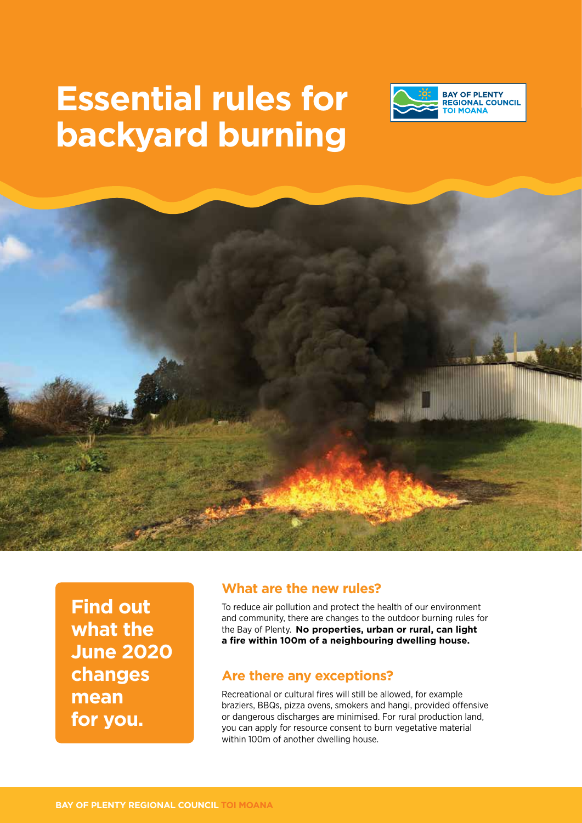# **Essential rules for backyard burning**





**Find out what the June 2020 changes mean for you.**

#### **What are the new rules?**

To reduce air pollution and protect the health of our environment and community, there are changes to the outdoor burning rules for the Bay of Plenty. **No properties, urban or rural, can light a fire within 100m of a neighbouring dwelling house.**

#### **Are there any exceptions?**

Recreational or cultural fires will still be allowed, for example braziers, BBQs, pizza ovens, smokers and hangi, provided offensive or dangerous discharges are minimised. For rural production land, you can apply for resource consent to burn vegetative material within 100m of another dwelling house.